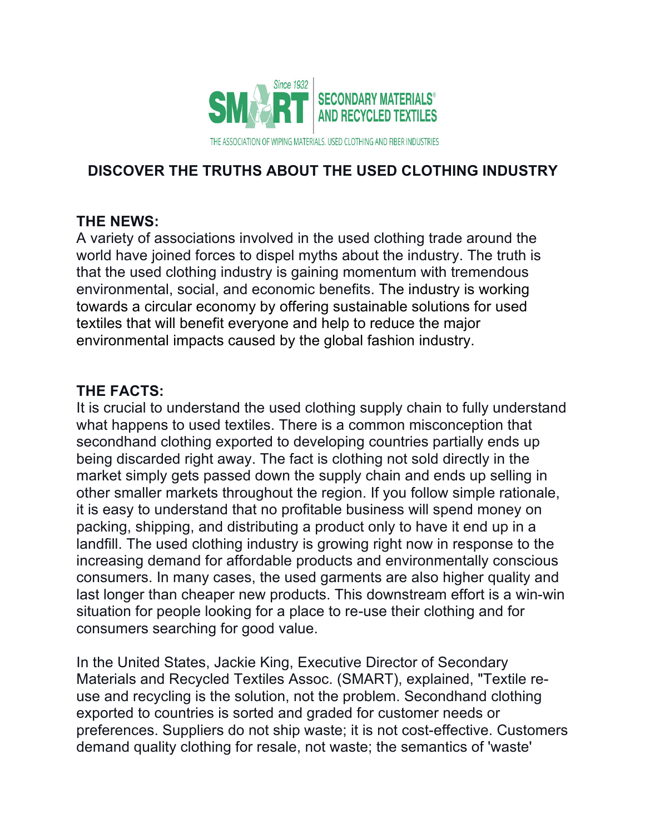

# **DISCOVER THE TRUTHS ABOUT THE USED CLOTHING INDUSTRY**

## **THE NEWS:**

A variety of associations involved in the used clothing trade around the world have joined forces to dispel myths about the industry. The truth is that the used clothing industry is gaining momentum with tremendous environmental, social, and economic benefits. The industry is working towards a circular economy by offering sustainable solutions for used textiles that will benefit everyone and help to reduce the major environmental impacts caused by the global fashion industry.

### **THE FACTS:**

It is crucial to understand the used clothing supply chain to fully understand what happens to used textiles. There is a common misconception that secondhand clothing exported to developing countries partially ends up being discarded right away. The fact is clothing not sold directly in the market simply gets passed down the supply chain and ends up selling in other smaller markets throughout the region. If you follow simple rationale, it is easy to understand that no profitable business will spend money on packing, shipping, and distributing a product only to have it end up in a landfill. The used clothing industry is growing right now in response to the increasing demand for affordable products and environmentally conscious consumers. In many cases, the used garments are also higher quality and last longer than cheaper new products. This downstream effort is a win-win situation for people looking for a place to re-use their clothing and for consumers searching for good value.

In the United States, Jackie King, Executive Director of Secondary Materials and Recycled Textiles Assoc. (SMART), explained, "Textile reuse and recycling is the solution, not the problem. Secondhand clothing exported to countries is sorted and graded for customer needs or preferences. Suppliers do not ship waste; it is not cost-effective. Customers demand quality clothing for resale, not waste; the semantics of 'waste'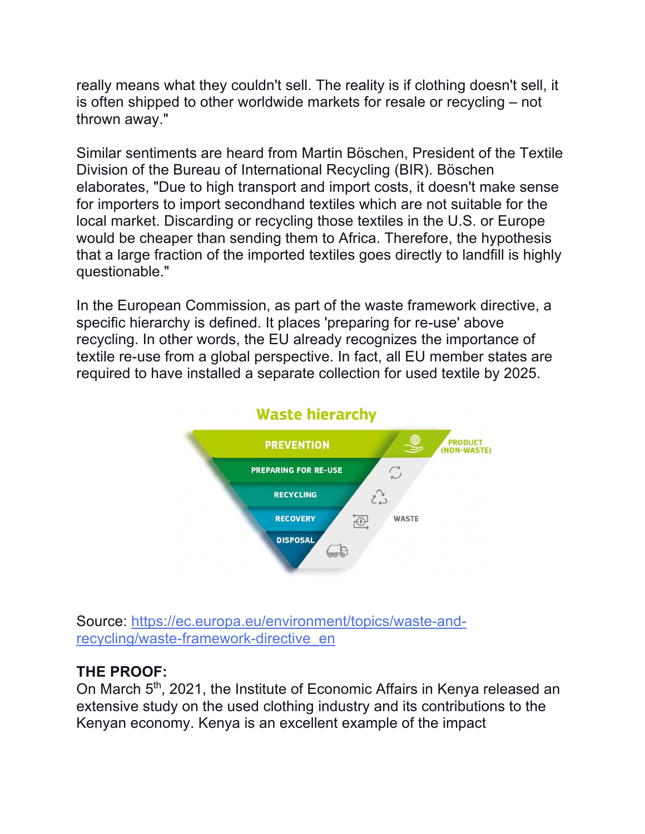really means what they couldn't sell. The reality is if clothing doesn't sell, it is often shipped to other worldwide markets for resale or recycling – not thrown away."

Similar sentiments are heard from Martin Böschen, President of the Textile Division of the Bureau of International Recycling (BIR). Böschen elaborates, "Due to high transport and import costs, it doesn't make sense for importers to import secondhand textiles which are not suitable for the local market. Discarding or recycling those textiles in the U.S. or Europe would be cheaper than sending them to Africa. Therefore, the hypothesis that a large fraction of the imported textiles goes directly to landfill is highly questionable."

In the European Commission, as part of the waste framework directive, a specific hierarchy is defined. It places 'preparing for re-use' above recycling. In other words, the EU already recognizes the importance of textile re-use from a global perspective. In fact, all EU member states are required to have installed a separate collection for used textile by 2025.



Source: https://ec.europa.eu/environment/topics/waste-andrecycling/waste-framework-directive\_en

## **THE PROOF:**

On March 5<sup>th</sup>, 2021, the Institute of Economic Affairs in Kenya released an extensive study on the used clothing industry and its contributions to the Kenyan economy. Kenya is an excellent example of the impact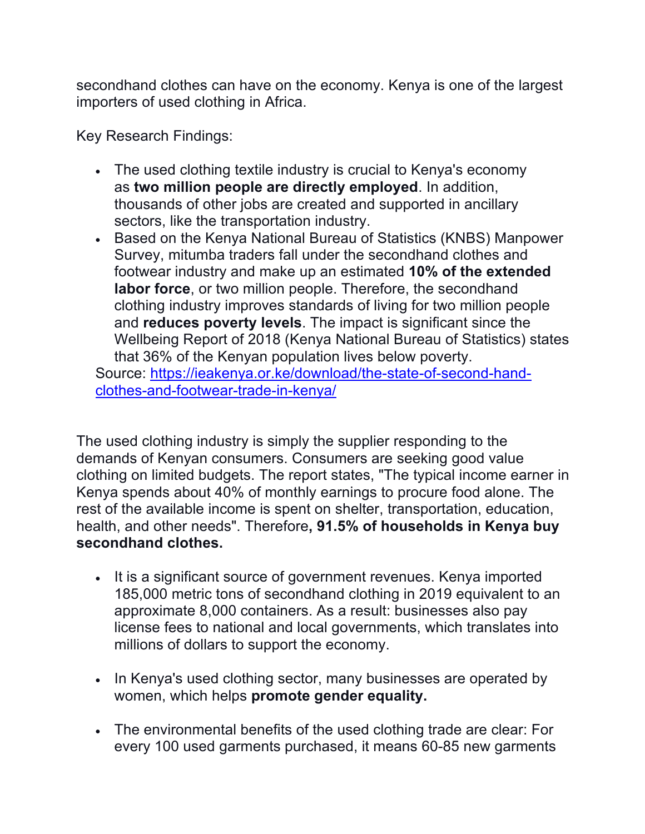secondhand clothes can have on the economy. Kenya is one of the largest importers of used clothing in Africa.

Key Research Findings:

- The used clothing textile industry is crucial to Kenya's economy as **two million people are directly employed**. In addition, thousands of other jobs are created and supported in ancillary sectors, like the transportation industry.
- Based on the Kenya National Bureau of Statistics (KNBS) Manpower Survey, mitumba traders fall under the secondhand clothes and footwear industry and make up an estimated **10% of the extended labor force**, or two million people. Therefore, the secondhand clothing industry improves standards of living for two million people and **reduces poverty levels**. The impact is significant since the Wellbeing Report of 2018 (Kenya National Bureau of Statistics) states that 36% of the Kenyan population lives below poverty. Source: https://ieakenya.or.ke/download/the-state-of-second-hand-

clothes-and-footwear-trade-in-kenya/

The used clothing industry is simply the supplier responding to the demands of Kenyan consumers. Consumers are seeking good value clothing on limited budgets. The report states, "The typical income earner in Kenya spends about 40% of monthly earnings to procure food alone. The rest of the available income is spent on shelter, transportation, education, health, and other needs". Therefore**, 91.5% of households in Kenya buy secondhand clothes.**

- It is a significant source of government revenues. Kenya imported 185,000 metric tons of secondhand clothing in 2019 equivalent to an approximate 8,000 containers. As a result: businesses also pay license fees to national and local governments, which translates into millions of dollars to support the economy.
- In Kenya's used clothing sector, many businesses are operated by women, which helps **promote gender equality.**
- The environmental benefits of the used clothing trade are clear: For every 100 used garments purchased, it means 60-85 new garments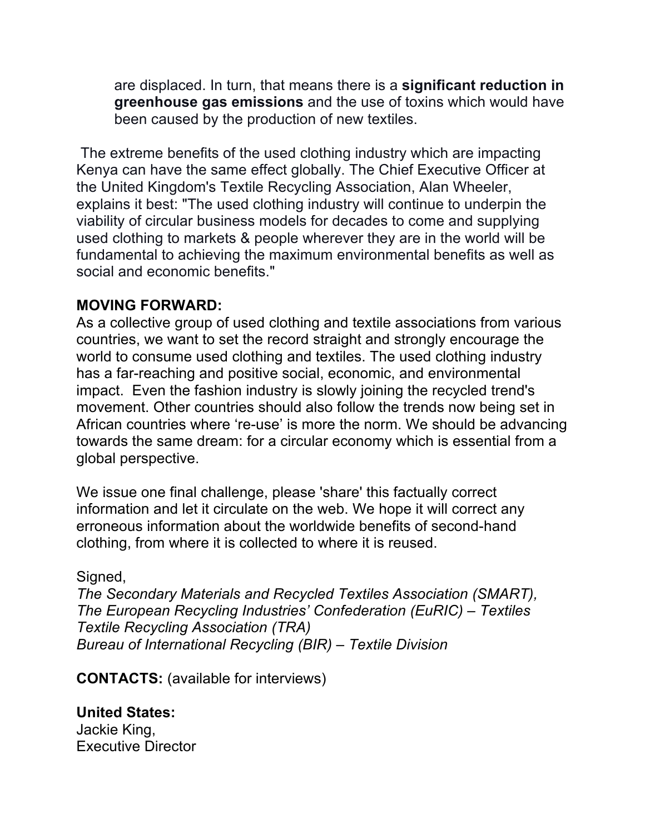are displaced. In turn, that means there is a **significant reduction in greenhouse gas emissions** and the use of toxins which would have been caused by the production of new textiles.

The extreme benefits of the used clothing industry which are impacting Kenya can have the same effect globally. The Chief Executive Officer at the United Kingdom's Textile Recycling Association, Alan Wheeler, explains it best: "The used clothing industry will continue to underpin the viability of circular business models for decades to come and supplying used clothing to markets & people wherever they are in the world will be fundamental to achieving the maximum environmental benefits as well as social and economic benefits."

### **MOVING FORWARD:**

As a collective group of used clothing and textile associations from various countries, we want to set the record straight and strongly encourage the world to consume used clothing and textiles. The used clothing industry has a far-reaching and positive social, economic, and environmental impact. Even the fashion industry is slowly joining the recycled trend's movement. Other countries should also follow the trends now being set in African countries where 're-use' is more the norm. We should be advancing towards the same dream: for a circular economy which is essential from a global perspective.

We issue one final challenge, please 'share' this factually correct information and let it circulate on the web. We hope it will correct any erroneous information about the worldwide benefits of second-hand clothing, from where it is collected to where it is reused.

#### Signed,

*The Secondary Materials and Recycled Textiles Association (SMART), The European Recycling Industries' Confederation (EuRIC) – Textiles Textile Recycling Association (TRA) Bureau of International Recycling (BIR) – Textile Division* 

**CONTACTS:** (available for interviews)

**United States:** Jackie King, Executive Director